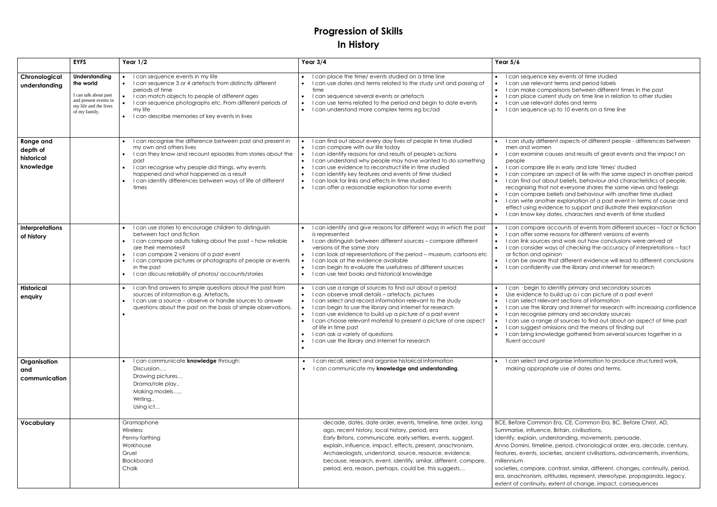## **Progression of Skills In History**

|                                                         | <b>EYFS</b>                                                                                                                   | Year $1/2$                                                                                                                                                                                                                                                                                                                                                            | Year $3/4$                                                                                                                                                                                                                                                                                                                                                                                                                                                                                                                                                                                    | Year $5/6$                                                                                                                                                                                                   |
|---------------------------------------------------------|-------------------------------------------------------------------------------------------------------------------------------|-----------------------------------------------------------------------------------------------------------------------------------------------------------------------------------------------------------------------------------------------------------------------------------------------------------------------------------------------------------------------|-----------------------------------------------------------------------------------------------------------------------------------------------------------------------------------------------------------------------------------------------------------------------------------------------------------------------------------------------------------------------------------------------------------------------------------------------------------------------------------------------------------------------------------------------------------------------------------------------|--------------------------------------------------------------------------------------------------------------------------------------------------------------------------------------------------------------|
| Chronological<br>understanding                          | <b>Understanding</b><br>the world<br>I can talk about past<br>and present events in<br>my life and the lives<br>of my family. | I can sequence events in my life<br>I can sequence 3 or 4 artefacts from distinctly different<br>periods of time<br>I can match objects to people of different ages<br>I can sequence photographs etc. From different periods of<br>my life<br>I can describe memories of key events in lives                                                                         | I can place the time/ events studied on a time line<br>I can use dates and terms related to the study unit and passing of<br>$\bullet$<br>time<br>I can sequence several events or artefacts<br>$\bullet$<br>I can use terms related to the period and begin to date events<br>$\bullet$<br>I can understand more complex terms eg bc/ad<br>$\bullet$                                                                                                                                                                                                                                         | I can sequence<br>I can use releve<br>I can make co<br>I can place cu<br>I can use relev<br>I can sequence                                                                                                   |
| <b>Range and</b><br>depth of<br>historical<br>knowledge |                                                                                                                               | I can recognise the difference between past and present in<br>my own and others lives<br>I can they know and recount episodes from stories about the<br>past<br>I can recognise why people did things, why events<br>$\bullet$<br>happened and what happened as a result<br>I can identify differences between ways of life at different<br>times                     | I can find out about every day lives of people in time studied<br>$\bullet$<br>I can compare with our life today<br>$\bullet$<br>I can identify reasons for and results of people's actions<br>$\bullet$<br>I can understand why people may have wanted to do something<br>$\bullet$<br>I can use evidence to reconstruct life in time studied<br>$\bullet$<br>I can identify key features and events of time studied<br>$\bullet$<br>I can look for links and effects in time studied<br>$\bullet$<br>I can offer a reasonable explanation for some events<br>$\bullet$                      | I can study diff<br>men and wom<br>I can examine<br>people<br>I can compare<br>I can compare<br>I can find out o<br>recognising the<br>I can compare<br>I can write and<br>effect using ev<br>I can know key |
| <b>Interpretations</b><br>of history                    |                                                                                                                               | I can use stories to encourage children to distinguish<br>between fact and fiction<br>I can compare adults talking about the past - how reliable<br>are their memories?<br>I can compare 2 versions of a past event<br>$\bullet$<br>I can compare pictures or photographs of people or events<br>in the past<br>I can discuss reliability of photos/ accounts/stories | I can identify and give reasons for different ways in which the past<br>$\bullet$<br>is represented<br>I can distinguish between different sources - compare different<br>$\bullet$<br>versions of the same story<br>I can look at representations of the period - museum, cartoons etc<br>$\bullet$<br>I can look at the evidence available<br>$\bullet$<br>I can begin to evaluate the usefulness of different sources<br>$\bullet$<br>I can use text books and historical knowledge<br>$\bullet$                                                                                           | I can compare<br>I can offer som<br>I can link sourc<br>I can consider<br>or fiction and a<br>I can be aware<br>I can confiden                                                                               |
| <b>Historical</b><br>enquiry                            |                                                                                                                               | I can find answers to simple questions about the past from<br>sources of information e.g. Artefacts,<br>I can use a source - observe or handle sources to answer<br>questions about the past on the basis of simple observations.                                                                                                                                     | I can use a range of sources to find out about a period<br>$\bullet$<br>I can observe small details - artefacts, pictures<br>$\bullet$<br>I can select and record information relevant to the study<br>$\bullet$<br>I can begin to use the library and internet for research<br>$\bullet$<br>I can use evidence to build up a picture of a past event<br>$\bullet$<br>I can choose relevant material to present a picture of one aspect<br>$\bullet$<br>of life in time past<br>I can ask a variety of questions<br>$\bullet$<br>I can use the library and internet for research<br>$\bullet$ | I can · begin to<br>Use evidence f<br>I can select rel<br>I can use the lil<br>I can recognise<br>I can use a ran<br>I can suggest o<br>I can bring knc<br>fluent account                                    |
| Organisation<br>and<br>communication                    |                                                                                                                               | I can communicate knowledge through:<br>Discussion<br>Drawing pictures<br>Drama/role play<br>Making models<br>Writing<br>Using ict                                                                                                                                                                                                                                    | can recall, select and organise historical information<br>$\bullet$<br>I can communicate my knowledge and understanding.                                                                                                                                                                                                                                                                                                                                                                                                                                                                      | I can select an<br>making approp                                                                                                                                                                             |
| Vocabulary                                              |                                                                                                                               | Gramaphone<br>Wireless<br>Penny farthing<br>Workhouse<br>Gruel<br>Blackboard<br>Chalk                                                                                                                                                                                                                                                                                 | decade, dates, date order, events, timeline, time order, long<br>ago, recent history, local history, period, era<br>Early Britons, communicate, early settlers, events, suggest,<br>explain, influence, impact, effects, present, anachronism,<br>Archaeologists, understand, source, resource, evidence,<br>because, research, event, identify, similar, different, compare,<br>period, era, reason, perhaps, could be, this suggests                                                                                                                                                        | <b>BCE, Before Comm</b><br>Summarise, influen<br>Identify, explain, ur<br>Anno Domini, timel<br>features, events, sc<br>millennium<br>societies, compare<br>era, anachronism,<br>extent of continuity        |

Ice key events of time studied I can verms and period labels comparisons between different times in the past current study on time line in relation to other studies evant dates and terms Ice up to 10 events on a time line lifferent aspects of different people - differences between men I causes and results of great events and the impact on I ife in early and late 'times' studied Ire an aspect of lie with the same aspect in another period I about beliefs, behaviour and characteristics of people, hat not everyone shares the same views and feelings Ire beliefs and behaviour with another time studied nother explanation of a past event in terms of cause and evidence to support and illustrate their explanation ey dates, characters and events of time studied I re accounts of events from different sources – fact or fiction me reasons for different versions of events rces and work out how conclusions were arrived at

er ways of checking the accuracy of interpretations – fact l opinion

are that different evidence will lead to different conclusions ently use the library and internet for research

to identify primary and secondary sources to build up a i can picture of a past event elevant sections of information

Ibrary and internet for research with increasing confidence ise primary and secondary sources

inge of sources to find out about an aspect of time past I omissions and the means of finding out

nowledge gathered from several sources together in a

and organise information to produce structured work, opriate use of dates and terms.

amon Era, CE, Common Era, BC, Before Christ, AD, ence, Britain, civilisations,

understanding, movements, persuade,

eline, period, chronological order, era, decade, century, societies, ancient civilisations, advancements, inventions,

re, contrast, similar, different, changes, continuity, period, n, attitudes, represent, stereotype, propaganda, legacy, ity, extent of change, impact, consequences